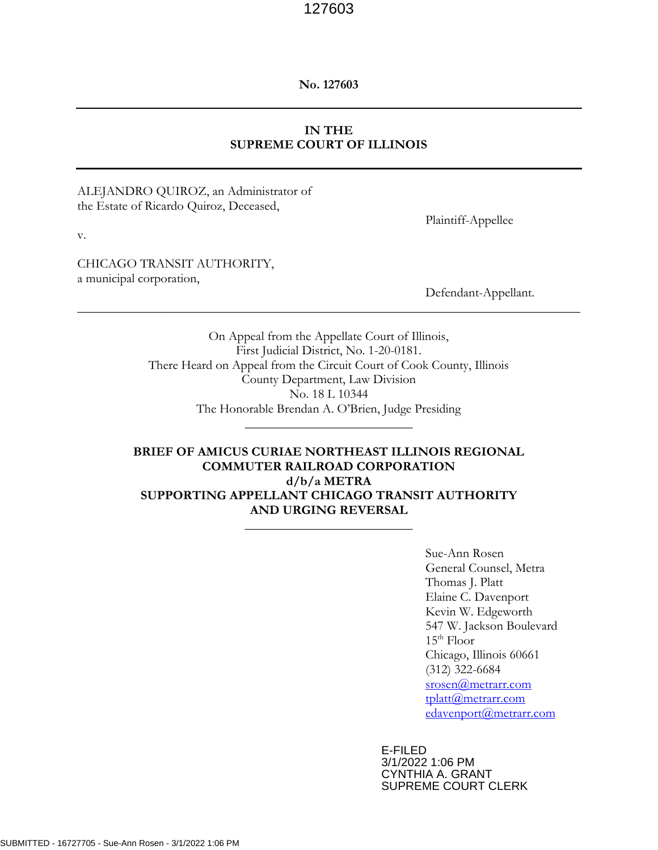**No. 127603**

# **IN THE SUPREME COURT OF ILLINOIS**

#### ALEJANDRO QUIROZ, an Administrator of the Estate of Ricardo Quiroz, Deceased,

Plaintiff-Appellee

v.

CHICAGO TRANSIT AUTHORITY, a municipal corporation,

Defendant-Appellant*.*

On Appeal from the Appellate Court of Illinois, First Judicial District, No. 1-20-0181. There Heard on Appeal from the Circuit Court of Cook County, Illinois County Department, Law Division No. 18 L 10344 The Honorable Brendan A. O'Brien, Judge Presiding  $\overline{\phantom{a}}$  , where  $\overline{\phantom{a}}$  , where  $\overline{\phantom{a}}$  , where  $\overline{\phantom{a}}$ 

\_\_\_\_\_\_\_\_\_\_\_\_\_\_\_\_\_\_\_\_\_\_\_\_\_\_\_\_\_\_\_\_\_\_\_\_\_\_\_\_\_\_\_\_\_\_\_\_\_\_\_\_\_\_\_\_\_\_\_\_\_\_\_\_\_\_\_\_\_\_\_\_\_\_\_\_\_\_

# **BRIEF OF AMICUS CURIAE NORTHEAST ILLINOIS REGIONAL COMMUTER RAILROAD CORPORATION d/b/a METRA SUPPORTING APPELLANT CHICAGO TRANSIT AUTHORITY AND URGING REVERSAL**  $\overline{\phantom{a}}$  , where  $\overline{\phantom{a}}$  , where  $\overline{\phantom{a}}$  , where  $\overline{\phantom{a}}$

Sue-Ann Rosen General Counsel, Metra Thomas J. Platt Elaine C. Davenport Kevin W. Edgeworth 547 W. Jackson Boulevard  $15<sup>th</sup>$  Floor Chicago, Illinois 60661 (312) 322-6684 [srosen@metrarr.com](mailto:srosen@metrarr.com) [tplatt@metrarr.com](mailto:tplatt@metrarr.com) [edavenport@metrarr.com](mailto:edavenport@metrarr.com)

E-FILED 3/1/2022 1:06 PM CYNTHIA A. GRANT SUPREME COURT CLERK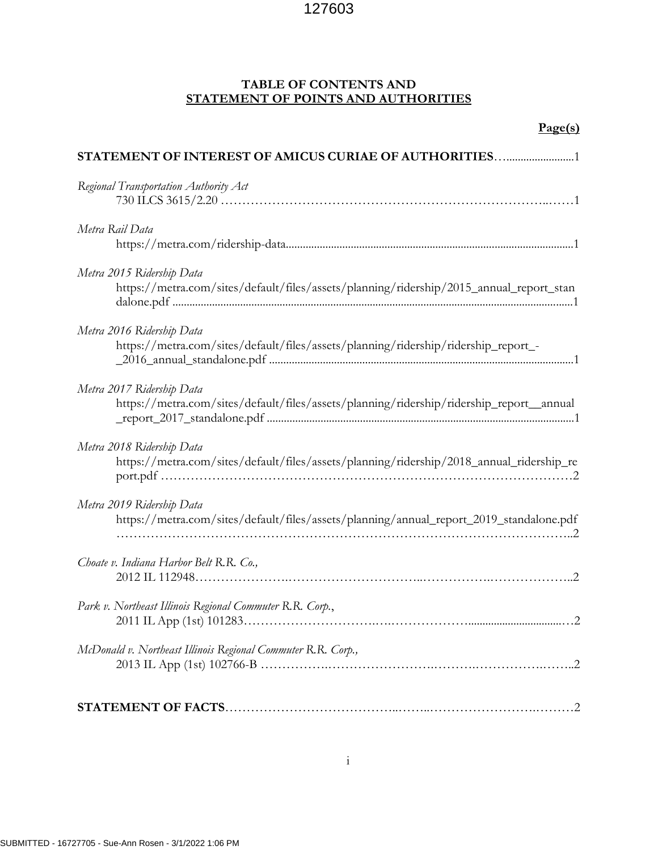# **TABLE OF CONTENTS AND STATEMENT OF POINTS AND AUTHORITIES**

#### **Page(s)**

| STATEMENT OF INTEREST OF AMICUS CURIAE OF AUTHORITIES1                                                                |  |  |
|-----------------------------------------------------------------------------------------------------------------------|--|--|
| Regional Transportation Authority Act                                                                                 |  |  |
| Metra Rail Data                                                                                                       |  |  |
| Metra 2015 Ridership Data<br>https://metra.com/sites/default/files/assets/planning/ridership/2015_annual_report_stan  |  |  |
| Metra 2016 Ridership Data<br>https://metra.com/sites/default/files/assets/planning/ridership/ridership_report_-       |  |  |
| Metra 2017 Ridership Data<br>https://metra.com/sites/default/files/assets/planning/ridership/ridership_report_annual  |  |  |
| Metra 2018 Ridership Data<br>https://metra.com/sites/default/files/assets/planning/ridership/2018_annual_ridership_re |  |  |
| Metra 2019 Ridership Data<br>https://metra.com/sites/default/files/assets/planning/annual_report_2019_standalone.pdf  |  |  |
| Choate v. Indiana Harbor Belt R.R. Co.,                                                                               |  |  |
| Park v. Northeast Illinois Regional Commuter R.R. Corp.,                                                              |  |  |
| McDonald v. Northeast Illinois Regional Commuter R.R. Corp.,                                                          |  |  |
|                                                                                                                       |  |  |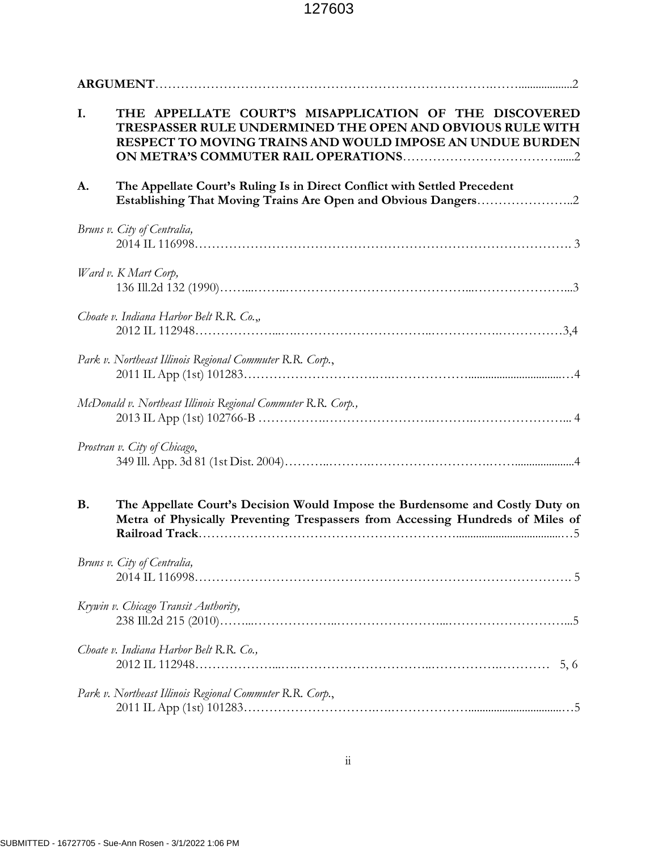| I.        | THE APPELLATE COURT'S MISAPPLICATION OF THE DISCOVERED<br>TRESPASSER RULE UNDERMINED THE OPEN AND OBVIOUS RULE WITH<br>RESPECT TO MOVING TRAINS AND WOULD IMPOSE AN UNDUE BURDEN |  |
|-----------|----------------------------------------------------------------------------------------------------------------------------------------------------------------------------------|--|
| A.        | The Appellate Court's Ruling Is in Direct Conflict with Settled Precedent                                                                                                        |  |
|           | Bruns v. City of Centralia,                                                                                                                                                      |  |
|           | Ward v. K Mart Corp,                                                                                                                                                             |  |
|           | Choate v. Indiana Harbor Belt R.R. Co.,                                                                                                                                          |  |
|           | Park v. Northeast Illinois Regional Commuter R.R. Corp.,                                                                                                                         |  |
|           | McDonald v. Northeast Illinois Regional Commuter R.R. Corp.,                                                                                                                     |  |
|           | Prostran v. City of Chicago,                                                                                                                                                     |  |
| <b>B.</b> | The Appellate Court's Decision Would Impose the Burdensome and Costly Duty on<br>Metra of Physically Preventing Trespassers from Accessing Hundreds of Miles of                  |  |
|           | Bruns v. City of Centralia,                                                                                                                                                      |  |
|           | Krywin v. Chicago Transit Authority,                                                                                                                                             |  |
|           | Choate v. Indiana Harbor Belt R.R. Co.,<br>5, 6                                                                                                                                  |  |
|           | Park v. Northeast Illinois Regional Commuter R.R. Corp.,                                                                                                                         |  |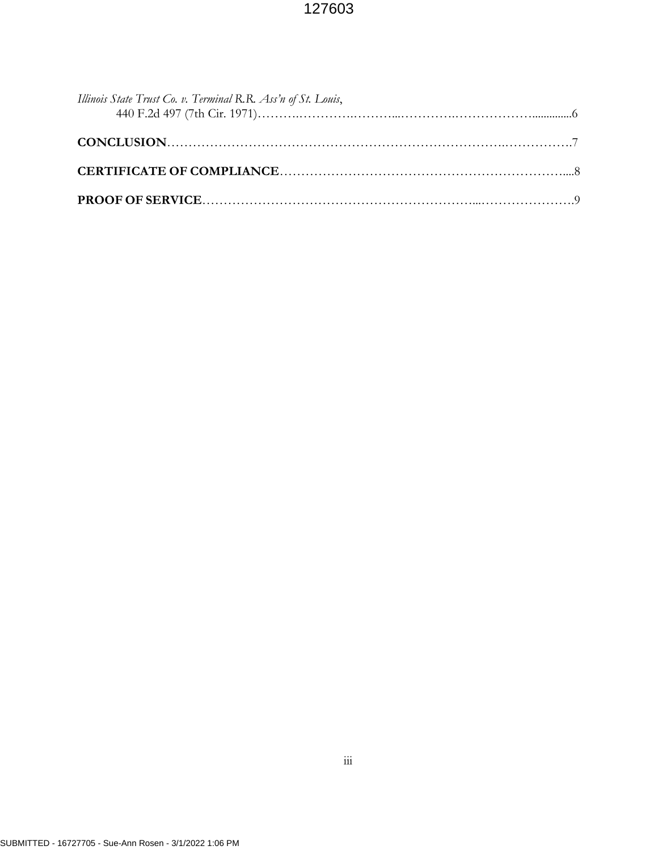| Illinois State Trust Co. v. Terminal R.R. Ass'n of St. Louis, |  |
|---------------------------------------------------------------|--|
|                                                               |  |
|                                                               |  |
|                                                               |  |
|                                                               |  |
|                                                               |  |
|                                                               |  |
|                                                               |  |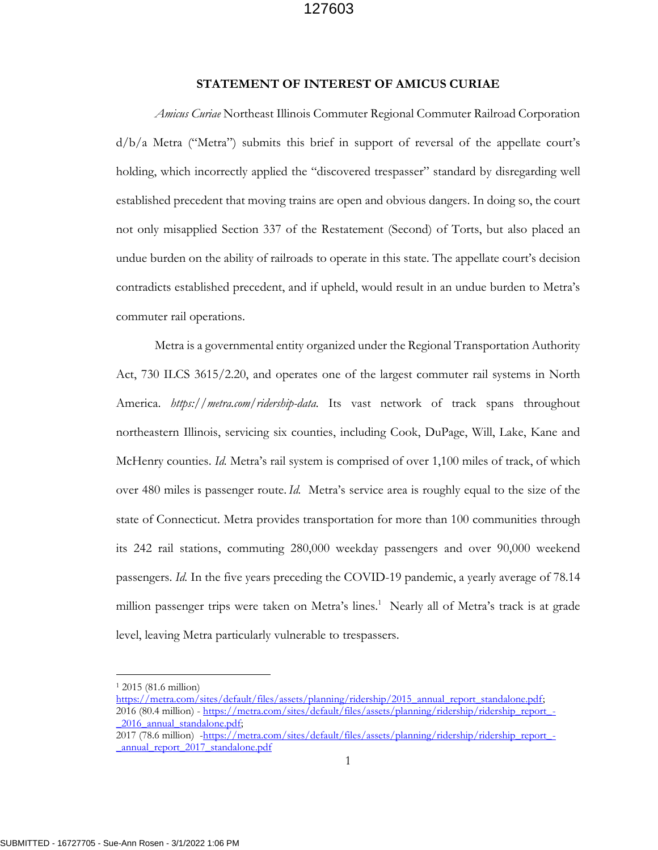#### **STATEMENT OF INTEREST OF AMICUS CURIAE**

*Amicus Curiae* Northeast Illinois Commuter Regional Commuter Railroad Corporation d/b/a Metra ("Metra") submits this brief in support of reversal of the appellate court's holding, which incorrectly applied the "discovered trespasser" standard by disregarding well established precedent that moving trains are open and obvious dangers. In doing so, the court not only misapplied Section 337 of the Restatement (Second) of Torts, but also placed an undue burden on the ability of railroads to operate in this state. The appellate court's decision contradicts established precedent, and if upheld, would result in an undue burden to Metra's commuter rail operations.

Metra is a governmental entity organized under the Regional Transportation Authority Act, 730 ILCS 3615/2.20, and operates one of the largest commuter rail systems in North America. *https://metra.com/ridership-data.* Its vast network of track spans throughout northeastern Illinois, servicing six counties, including Cook, DuPage, Will, Lake, Kane and McHenry counties. *Id.* Metra's rail system is comprised of over 1,100 miles of track, of which over 480 miles is passenger route. *Id.* Metra's service area is roughly equal to the size of the state of Connecticut. Metra provides transportation for more than 100 communities through its 242 rail stations, commuting 280,000 weekday passengers and over 90,000 weekend passengers. *Id.* In the five years preceding the COVID-19 pandemic, a yearly average of 78.14 million passenger trips were taken on Metra's lines.<sup>1</sup> Nearly all of Metra's track is at grade level, leaving Metra particularly vulnerable to trespassers.

<sup>1</sup> 2015 (81.6 million)

[https://metra.com/sites/default/files/assets/planning/ridership/2015\\_annual\\_report\\_standalone.pdf;](https://metra.com/sites/default/files/assets/planning/ridership/2015_annual_report_standalone.pdf) 2016 (80.4 million) - https://metra.com/sites/default/files/assets/planning/ridership/ridership\_report 2016\_annual\_standalone.pdf;

<sup>2017 (78.6</sup> million) [-https://metra.com/sites/default/files/assets/planning/ridership/ridership\\_report\\_-](https://metra.com/sites/default/files/assets/planning/ridership/ridership_report_-_annual_report_2017_standalone.pdf) [\\_annual\\_report\\_2017\\_standalone.pdf](https://metra.com/sites/default/files/assets/planning/ridership/ridership_report_-_annual_report_2017_standalone.pdf)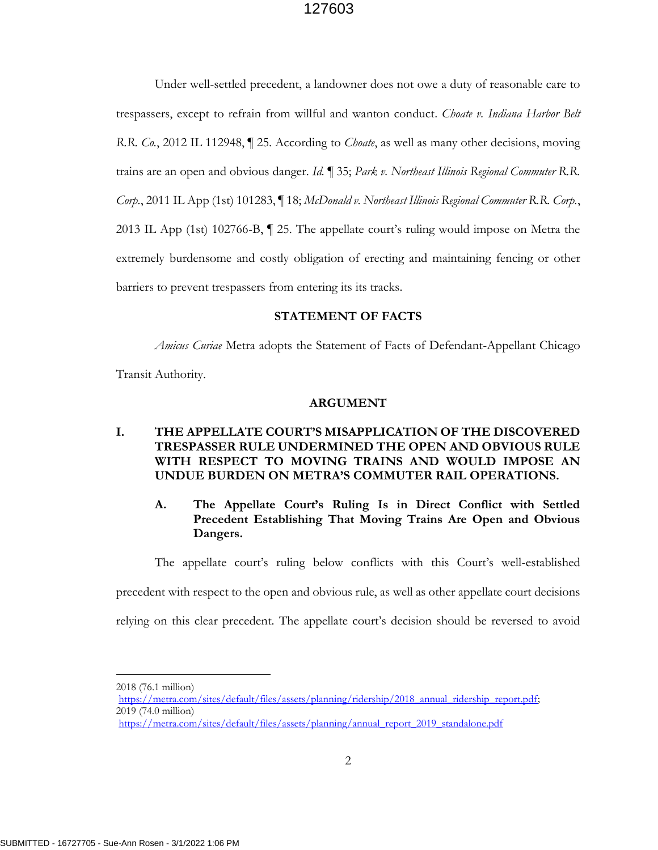Under well-settled precedent, a landowner does not owe a duty of reasonable care to trespassers, except to refrain from willful and wanton conduct. *Choate v. Indiana Harbor Belt R.R. Co.*, 2012 IL 112948, ¶ 25. According to *Choate*, as well as many other decisions, moving trains are an open and obvious danger. *Id.* ¶ 35; *Park v. Northeast Illinois Regional Commuter R.R. Corp.*, 2011 IL App (1st) 101283, ¶ 18; *McDonald v. Northeast Illinois Regional Commuter R.R. Corp.*, 2013 IL App (1st) 102766-B, ¶ 25. The appellate court's ruling would impose on Metra the extremely burdensome and costly obligation of erecting and maintaining fencing or other barriers to prevent trespassers from entering its its tracks.

#### **STATEMENT OF FACTS**

*Amicus Curiae* Metra adopts the Statement of Facts of Defendant-Appellant Chicago

Transit Authority.

#### **ARGUMENT**

### **I. THE APPELLATE COURT'S MISAPPLICATION OF THE DISCOVERED TRESPASSER RULE UNDERMINED THE OPEN AND OBVIOUS RULE WITH RESPECT TO MOVING TRAINS AND WOULD IMPOSE AN UNDUE BURDEN ON METRA'S COMMUTER RAIL OPERATIONS.**

# **A. The Appellate Court's Ruling Is in Direct Conflict with Settled Precedent Establishing That Moving Trains Are Open and Obvious Dangers.**

The appellate court's ruling below conflicts with this Court's well-established

precedent with respect to the open and obvious rule, as well as other appellate court decisions

relying on this clear precedent. The appellate court's decision should be reversed to avoid

- https://metra.com/sites/default/files/assets/planning/ridership/2018\_annual\_ridership\_report.pdf; 2019 (74.0 million)
- [https://metra.com/sites/default/files/assets/planning/annual\\_report\\_2019\\_standalone.pdf](https://metra.com/sites/default/files/assets/planning/annual_report_2019_standalone.pdf)

<sup>2018</sup> (76.1 million)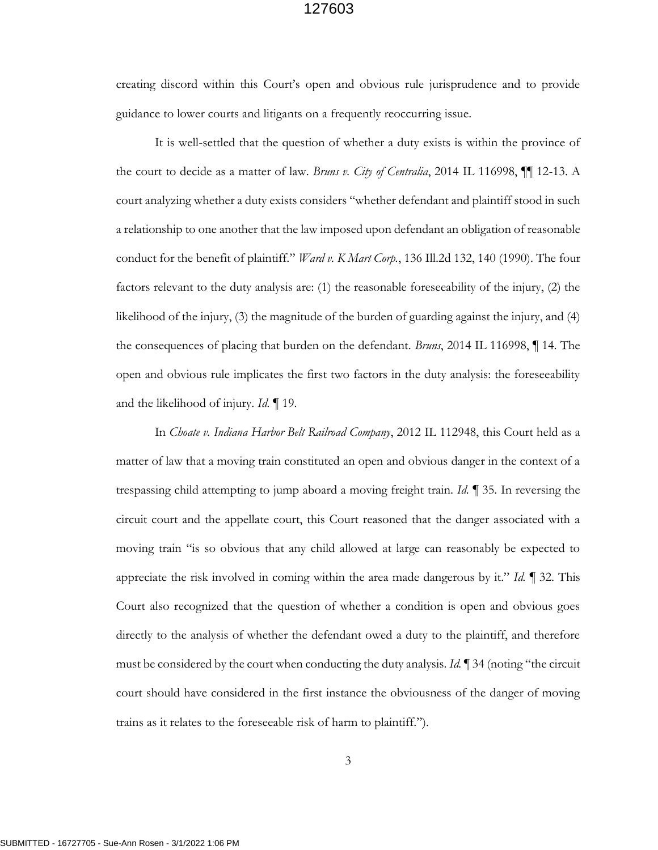creating discord within this Court's open and obvious rule jurisprudence and to provide guidance to lower courts and litigants on a frequently reoccurring issue.

It is well-settled that the question of whether a duty exists is within the province of the court to decide as a matter of law. *Bruns v. City of Centralia*, 2014 IL 116998, ¶¶ 12-13. A court analyzing whether a duty exists considers "whether defendant and plaintiff stood in such a relationship to one another that the law imposed upon defendant an obligation of reasonable conduct for the benefit of plaintiff." *Ward v. K Mart Corp.*, 136 Ill.2d 132, 140 (1990). The four factors relevant to the duty analysis are: (1) the reasonable foreseeability of the injury, (2) the likelihood of the injury, (3) the magnitude of the burden of guarding against the injury, and (4) the consequences of placing that burden on the defendant. *Bruns*, 2014 IL 116998, ¶ 14. The open and obvious rule implicates the first two factors in the duty analysis: the foreseeability and the likelihood of injury. *Id.* ¶ 19.

In *Choate v. Indiana Harbor Belt Railroad Company*, 2012 IL 112948, this Court held as a matter of law that a moving train constituted an open and obvious danger in the context of a trespassing child attempting to jump aboard a moving freight train. *Id.* ¶ 35. In reversing the circuit court and the appellate court, this Court reasoned that the danger associated with a moving train "is so obvious that any child allowed at large can reasonably be expected to appreciate the risk involved in coming within the area made dangerous by it." *Id.* ¶ 32. This Court also recognized that the question of whether a condition is open and obvious goes directly to the analysis of whether the defendant owed a duty to the plaintiff, and therefore must be considered by the court when conducting the duty analysis. *Id.* ¶ 34 (noting "the circuit court should have considered in the first instance the obviousness of the danger of moving trains as it relates to the foreseeable risk of harm to plaintiff.").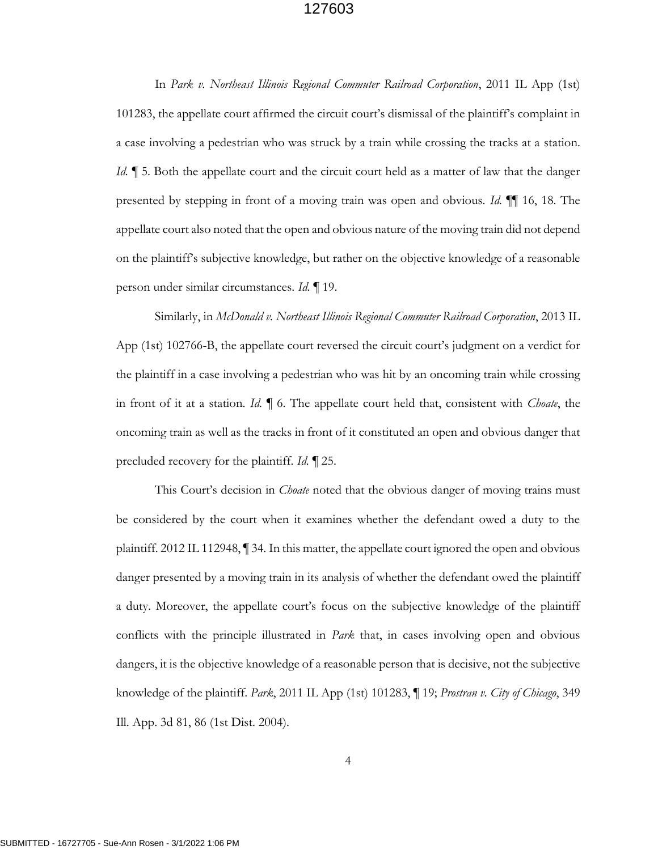In *Park v. Northeast Illinois Regional Commuter Railroad Corporation*, 2011 IL App (1st) 101283, the appellate court affirmed the circuit court's dismissal of the plaintiff's complaint in a case involving a pedestrian who was struck by a train while crossing the tracks at a station. *Id.*  $\parallel$  5. Both the appellate court and the circuit court held as a matter of law that the danger presented by stepping in front of a moving train was open and obvious. *Id.* ¶¶ 16, 18. The appellate court also noted that the open and obvious nature of the moving train did not depend on the plaintiff's subjective knowledge, but rather on the objective knowledge of a reasonable person under similar circumstances. *Id.* ¶ 19.

Similarly, in *McDonald v. Northeast Illinois Regional Commuter Railroad Corporation*, 2013 IL App (1st) 102766-B, the appellate court reversed the circuit court's judgment on a verdict for the plaintiff in a case involving a pedestrian who was hit by an oncoming train while crossing in front of it at a station. *Id.* ¶ 6. The appellate court held that, consistent with *Choate*, the oncoming train as well as the tracks in front of it constituted an open and obvious danger that precluded recovery for the plaintiff. *Id.* ¶ 25.

This Court's decision in *Choate* noted that the obvious danger of moving trains must be considered by the court when it examines whether the defendant owed a duty to the plaintiff. 2012 IL 112948, ¶ 34. In this matter, the appellate court ignored the open and obvious danger presented by a moving train in its analysis of whether the defendant owed the plaintiff a duty. Moreover, the appellate court's focus on the subjective knowledge of the plaintiff conflicts with the principle illustrated in *Park* that, in cases involving open and obvious dangers, it is the objective knowledge of a reasonable person that is decisive, not the subjective knowledge of the plaintiff. *Park*, 2011 IL App (1st) 101283, ¶ 19; *Prostran v. City of Chicago*, 349 Ill. App. 3d 81, 86 (1st Dist. 2004).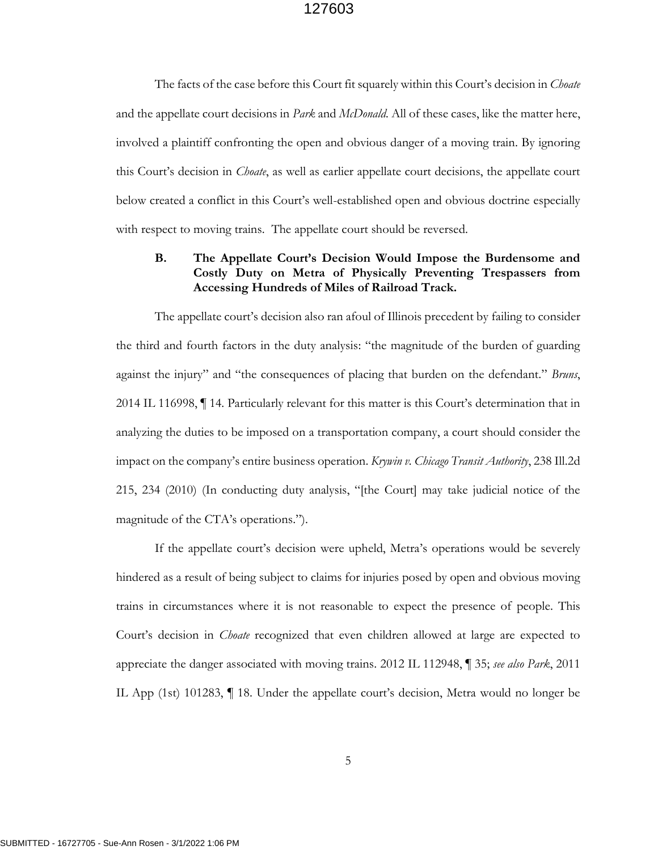The facts of the case before this Court fit squarely within this Court's decision in *Choate* and the appellate court decisions in *Park* and *McDonald.* All of these cases, like the matter here, involved a plaintiff confronting the open and obvious danger of a moving train. By ignoring this Court's decision in *Choate*, as well as earlier appellate court decisions, the appellate court below created a conflict in this Court's well-established open and obvious doctrine especially with respect to moving trains. The appellate court should be reversed.

# **B. The Appellate Court's Decision Would Impose the Burdensome and Costly Duty on Metra of Physically Preventing Trespassers from Accessing Hundreds of Miles of Railroad Track.**

The appellate court's decision also ran afoul of Illinois precedent by failing to consider the third and fourth factors in the duty analysis: "the magnitude of the burden of guarding against the injury" and "the consequences of placing that burden on the defendant." *Bruns*, 2014 IL 116998, ¶ 14. Particularly relevant for this matter is this Court's determination that in analyzing the duties to be imposed on a transportation company, a court should consider the impact on the company's entire business operation. *Krywin v. Chicago Transit Authority*, 238 Ill.2d 215, 234 (2010) (In conducting duty analysis, "[the Court] may take judicial notice of the magnitude of the CTA's operations.").

If the appellate court's decision were upheld, Metra's operations would be severely hindered as a result of being subject to claims for injuries posed by open and obvious moving trains in circumstances where it is not reasonable to expect the presence of people. This Court's decision in *Choate* recognized that even children allowed at large are expected to appreciate the danger associated with moving trains. 2012 IL 112948, ¶ 35; *see also Park*, 2011 IL App (1st) 101283, ¶ 18. Under the appellate court's decision, Metra would no longer be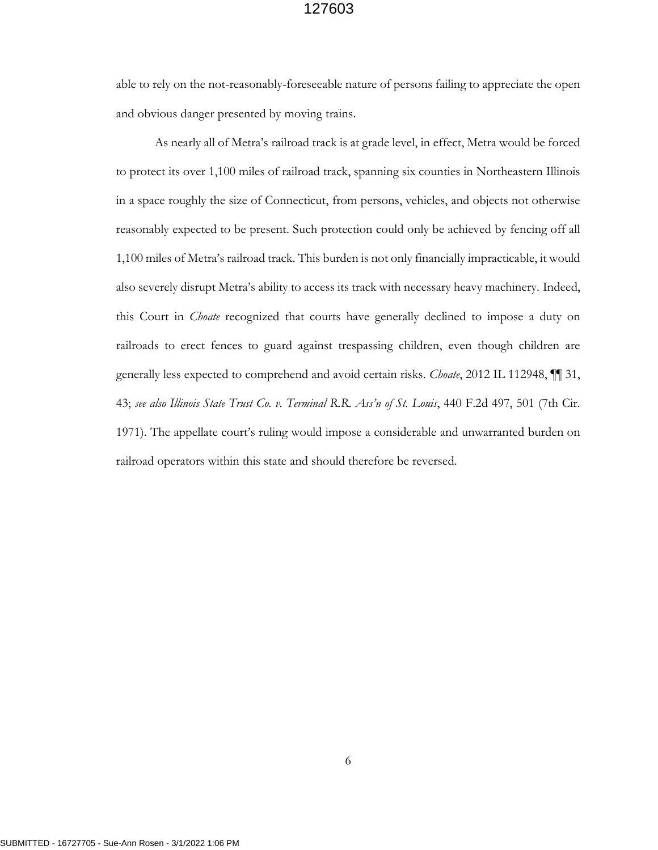able to rely on the not-reasonably-foreseeable nature of persons failing to appreciate the open and obvious danger presented by moving trains.

As nearly all of Metra's railroad track is at grade level, in effect, Metra would be forced to protect its over 1,100 miles of railroad track, spanning six counties in Northeastern Illinois in a space roughly the size of Connecticut, from persons, vehicles, and objects not otherwise reasonably expected to be present. Such protection could only be achieved by fencing off all 1,100 miles of Metra's railroad track. This burden is not only financially impracticable, it would also severely disrupt Metra's ability to access its track with necessary heavy machinery. Indeed, this Court in *Choate* recognized that courts have generally declined to impose a duty on railroads to erect fences to guard against trespassing children, even though children are generally less expected to comprehend and avoid certain risks. *Choate*, 2012 IL 112948, ¶¶ 31, 43; *see also Illinois State Trust Co. v. Terminal R.R. Ass'n of St. Louis*, 440 F.2d 497, 501 (7th Cir. 1971). The appellate court's ruling would impose a considerable and unwarranted burden on railroad operators within this state and should therefore be reversed.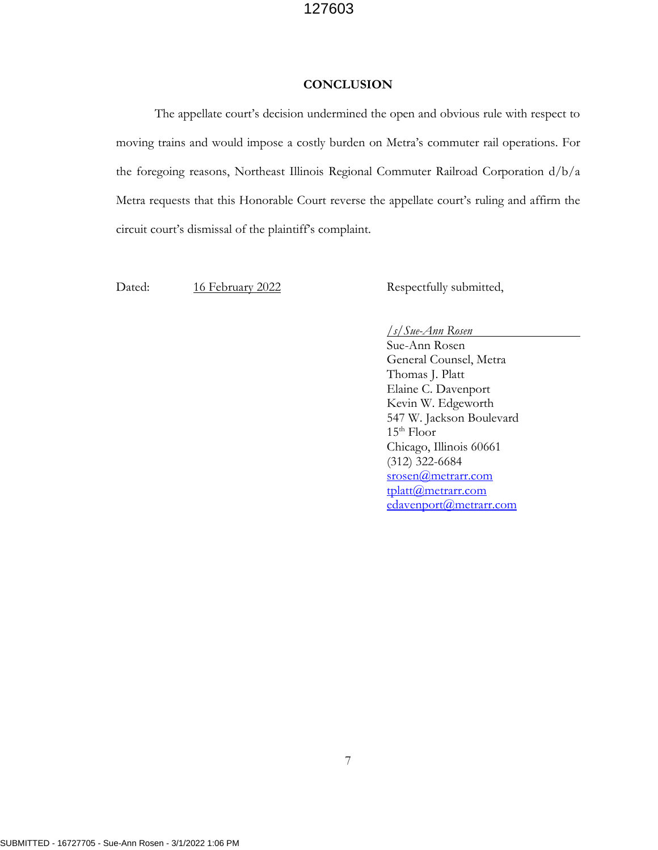#### **CONCLUSION**

The appellate court's decision undermined the open and obvious rule with respect to moving trains and would impose a costly burden on Metra's commuter rail operations. For the foregoing reasons, Northeast Illinois Regional Commuter Railroad Corporation d/b/a Metra requests that this Honorable Court reverse the appellate court's ruling and affirm the circuit court's dismissal of the plaintiff's complaint.

Dated: 16 February 2022 Respectfully submitted,

#### */s/Sue-Ann Rosen*

Sue-Ann Rosen General Counsel, Metra Thomas J. Platt Elaine C. Davenport Kevin W. Edgeworth 547 W. Jackson Boulevard  $15<sup>th</sup>$  Floor Chicago, Illinois 60661 (312) 322-6684 [srosen@metrarr.com](mailto:srosen@metrarr.com) [tplatt@metrarr.com](mailto:tplatt@metrarr.com) [edavenport@metrarr.com](mailto:edavenport@metrarr.com)